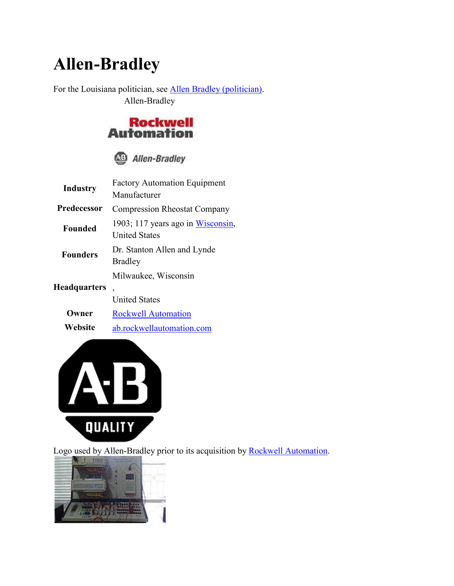## **Allen-Bradley**

For the Louisiana politician, see Allen Bradley (politician). Allen-Bradley



|  | <b>Allen-Bradley</b> |
|--|----------------------|
|--|----------------------|

| Industry        | <b>Factory Automation Equipment</b><br>Manufacturer                      |
|-----------------|--------------------------------------------------------------------------|
| Predecessor     | <b>Compression Rheostat Company</b>                                      |
| <b>Founded</b>  | 1903; 117 years ago in Wisconsin,<br><b>United States</b>                |
| <b>Founders</b> | Dr. Stanton Allen and Lynde<br><b>Bradley</b>                            |
| Headquarters    | Milwaukee, Wisconsin<br>$\overline{\phantom{0}}$<br><b>United States</b> |
| ner             | <b>Rockwell Automation</b>                                               |

**Website** ab.rockwellautomation.com



Logo used by Allen-Bradley prior to its acquisition by Rockwell Automation.